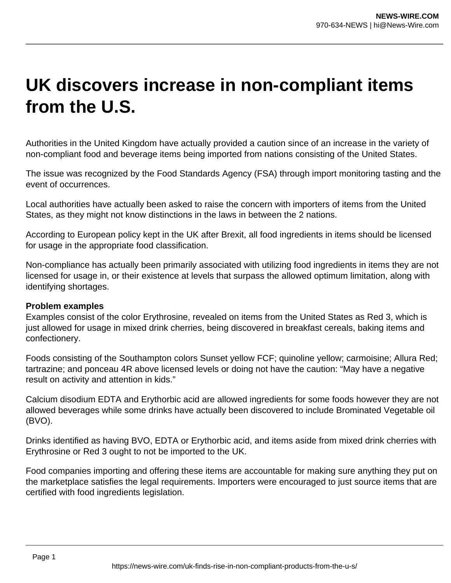## **UK discovers increase in non-compliant items from the U.S.**

Authorities in the United Kingdom have actually provided a caution since of an increase in the variety of non-compliant food and beverage items being imported from nations consisting of the United States.

The issue was recognized by the Food Standards Agency (FSA) through import monitoring tasting and the event of occurrences.

Local authorities have actually been asked to raise the concern with importers of items from the United States, as they might not know distinctions in the laws in between the 2 nations.

According to European policy kept in the UK after Brexit, all food ingredients in items should be licensed for usage in the appropriate food classification.

Non-compliance has actually been primarily associated with utilizing food ingredients in items they are not licensed for usage in, or their existence at levels that surpass the allowed optimum limitation, along with identifying shortages.

## **Problem examples**

Examples consist of the color Erythrosine, revealed on items from the United States as Red 3, which is just allowed for usage in mixed drink cherries, being discovered in breakfast cereals, baking items and confectionery.

Foods consisting of the Southampton colors Sunset yellow FCF; quinoline yellow; carmoisine; Allura Red; tartrazine; and ponceau 4R above licensed levels or doing not have the caution: "May have a negative result on activity and attention in kids."

Calcium disodium EDTA and Erythorbic acid are allowed ingredients for some foods however they are not allowed beverages while some drinks have actually been discovered to include Brominated Vegetable oil (BVO).

Drinks identified as having BVO, EDTA or Erythorbic acid, and items aside from mixed drink cherries with Erythrosine or Red 3 ought to not be imported to the UK.

Food companies importing and offering these items are accountable for making sure anything they put on the marketplace satisfies the legal requirements. Importers were encouraged to just source items that are certified with food ingredients legislation.